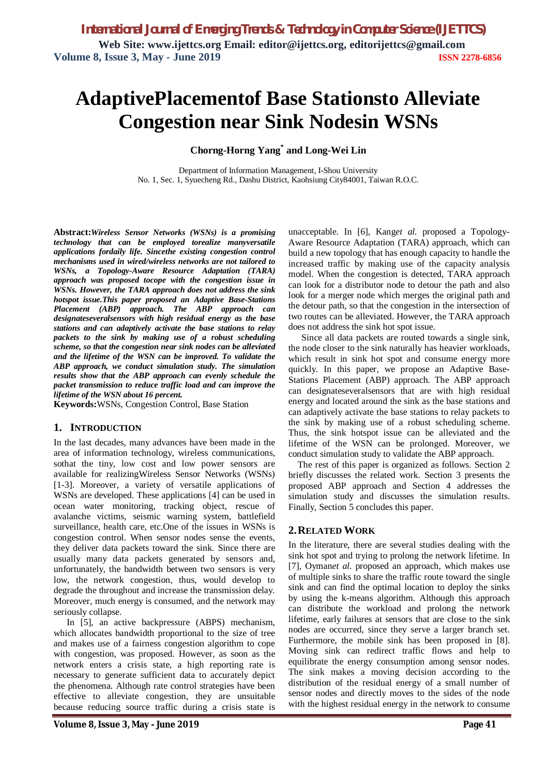# **AdaptivePlacementof Base Stationsto Alleviate Congestion near Sink Nodesin WSNs**

**Chorng-Horng Yang\* and Long-Wei Lin**

Department of Information Management, I-Shou University No. 1, Sec. 1, Syuecheng Rd., Dashu District, Kaohsiung City84001, Taiwan R.O.C.

**Abstract:***Wireless Sensor Networks (WSNs) is a promising technology that can be employed torealize manyversatile applications fordaily life. Sincethe existing congestion control mechanisms used in wired/wireless networks are not tailored to WSNs, a Topology-Aware Resource Adaptation (TARA) approach was proposed tocope with the congestion issue in WSNs. However, the TARA approach does not address the sink hotspot issue.This paper proposed an Adaptive Base-Stations Placement (ABP) approach. The ABP approach can designateseveralsensors with high residual energy as the base stations and can adaptively activate the base stations to relay packets to the sink by making use of a robust scheduling scheme, so that the congestion near sink nodes can be alleviated and the lifetime of the WSN can be improved. To validate the ABP approach, we conduct simulation study. The simulation results show that the ABP approach can evenly schedule the packet transmission to reduce traffic load and can improve the lifetime of the WSN about 16 percent.*

**Keywords:**WSNs, Congestion Control, Base Station

#### **1. INTRODUCTION**

In the last decades, many advances have been made in the area of information technology, wireless communications, sothat the tiny, low cost and low power sensors are available for realizingWireless Sensor Networks (WSNs) [1-3]. Moreover, a variety of versatile applications of WSNs are developed. These applications [4] can be used in ocean water monitoring, tracking object, rescue of avalanche victims, seismic warning system, battlefield surveillance, health care, etc.One of the issues in WSNs is congestion control. When sensor nodes sense the events, they deliver data packets toward the sink. Since there are usually many data packets generated by sensors and, unfortunately, the bandwidth between two sensors is very low, the network congestion, thus, would develop to degrade the throughout and increase the transmission delay. Moreover, much energy is consumed, and the network may seriously collapse.

In [5], an active backpressure (ABPS) mechanism, which allocates bandwidth proportional to the size of tree and makes use of a fairness congestion algorithm to cope with congestion, was proposed. However, as soon as the network enters a crisis state, a high reporting rate is necessary to generate sufficient data to accurately depict the phenomena. Although rate control strategies have been effective to alleviate congestion, they are unsuitable because reducing source traffic during a crisis state is

unacceptable. In [6], Kang*et al.* proposed a Topology-Aware Resource Adaptation (TARA) approach, which can build a new topology that has enough capacity to handle the increased traffic by making use of the capacity analysis model. When the congestion is detected, TARA approach can look for a distributor node to detour the path and also look for a merger node which merges the original path and the detour path, so that the congestion in the intersection of two routes can be alleviated. However, the TARA approach does not address the sink hot spot issue.

Since all data packets are routed towards a single sink, the node closer to the sink naturally has heavier workloads, which result in sink hot spot and consume energy more quickly. In this paper, we propose an Adaptive Base-Stations Placement (ABP) approach. The ABP approach can designateseveralsensors that are with high residual energy and located around the sink as the base stations and can adaptively activate the base stations to relay packets to the sink by making use of a robust scheduling scheme. Thus, the sink hotspot issue can be alleviated and the lifetime of the WSN can be prolonged. Moreover, we conduct simulation study to validate the ABP approach.

The rest of this paper is organized as follows. Section 2 briefly discusses the related work. Section 3 presents the proposed ABP approach and Section 4 addresses the simulation study and discusses the simulation results. Finally, Section 5 concludes this paper.

## **2.RELATED WORK**

In the literature, there are several studies dealing with the sink hot spot and trying to prolong the network lifetime. In [7], Oyman*et al.* proposed an approach, which makes use of multiple sinks to share the traffic route toward the single sink and can find the optimal location to deploy the sinks by using the k-means algorithm. Although this approach can distribute the workload and prolong the network lifetime, early failures at sensors that are close to the sink nodes are occurred, since they serve a larger branch set. Furthermore, the mobile sink has been proposed in [8]. Moving sink can redirect traffic flows and help to equilibrate the energy consumption among sensor nodes. The sink makes a moving decision according to the distribution of the residual energy of a small number of sensor nodes and directly moves to the sides of the node with the highest residual energy in the network to consume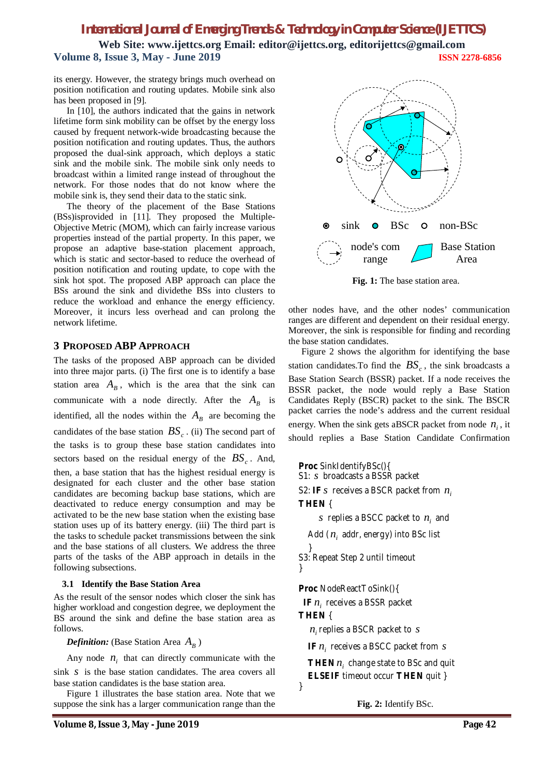# *International Journal of Emerging Trends & Technology in Computer Science (IJETTCS)*

**Web Site: www.ijettcs.org Email: editor@ijettcs.org, editorijettcs@gmail.com Volume 8, Issue 3, May - June 2019 ISSN 2278-6856**

its energy. However, the strategy brings much overhead on position notification and routing updates. Mobile sink also has been proposed in [9].

In [10], the authors indicated that the gains in network lifetime form sink mobility can be offset by the energy loss caused by frequent network-wide broadcasting because the position notification and routing updates. Thus, the authors proposed the dual-sink approach, which deploys a static sink and the mobile sink. The mobile sink only needs to broadcast within a limited range instead of throughout the network. For those nodes that do not know where the mobile sink is, they send their data to the static sink.

The theory of the placement of the Base Stations (BSs)isprovided in [11]. They proposed the Multiple-Objective Metric (MOM), which can fairly increase various properties instead of the partial property. In this paper, we propose an adaptive base-station placement approach, which is static and sector-based to reduce the overhead of position notification and routing update, to cope with the sink hot spot. The proposed ABP approach can place the BSs around the sink and dividethe BSs into clusters to reduce the workload and enhance the energy efficiency. Moreover, it incurs less overhead and can prolong the network lifetime.

#### **3 PROPOSED ABP APPROACH**

The tasks of the proposed ABP approach can be divided into three major parts. (i) The first one is to identify a base station area  $A_B$ , which is the area that the sink can communicate with a node directly. After the  $A_B$  is identified, all the nodes within the  $A_B$  are becoming the candidates of the base station  $BS_c$ . (ii) The second part of the tasks is to group these base station candidates into sectors based on the residual energy of the  $BS_c$ . And, then, a base station that has the highest residual energy is designated for each cluster and the other base station candidates are becoming backup base stations, which are deactivated to reduce energy consumption and may be activated to be the new base station when the existing base station uses up of its battery energy. (iii) The third part is the tasks to schedule packet transmissions between the sink and the base stations of all clusters. We address the three parts of the tasks of the ABP approach in details in the following subsections.

#### **3.1 Identify the Base Station Area**

As the result of the sensor nodes which closer the sink has higher workload and congestion degree, we deployment the BS around the sink and define the base station area as follows.

*Definition:* (Base Station Area *A<sup>B</sup>* )

Any node  $n_i$  that can directly communicate with the sink *s* is the base station candidates. The area covers all base station candidates is the base station area.

Figure 1 illustrates the base station area. Note that we suppose the sink has a larger communication range than the



**Fig. 1:** The base station area.

other nodes have, and the other nodes' communication ranges are different and dependent on their residual energy. Moreover, the sink is responsible for finding and recording the base station candidates.

Figure 2 shows the algorithm for identifying the base station candidates. To find the  $BS_c$ , the sink broadcasts a Base Station Search (BSSR) packet. If a node receives the BSSR packet, the node would reply a Base Station Candidates Reply (BSCR) packet to the sink. The BSCR packet carries the node's address and the current residual energy. When the sink gets aBSCR packet from node  $n_i$ , it should replies a Base Station Candidate Confirmation

**Proc** SinkIdentifyBSc(){ S1: *s* broadcasts a BSSR packet S2: **IF** *s* receives a BSCR packet from *n<sup>i</sup>* **THEN** {  $s$  replies a BSCC packet to  $n_i$  and Add ( *n<sup>i</sup>* addr, energy) into BSc list } S3: Repeat Step 2 until timeout } **Proc** NodeReactToSink(){ **IF** *n<sup>i</sup>* receives a BSSR packet **THEN** {

*ni* replies a BSCR packet to *s*

**IF**  $n_i$  receives a BSCC packet from *s* 

**THEN** *n<sup>i</sup>* change state to BSc and quit **ELSEIF** timeout occur **THEN** quit }

}

**Fig. 2:** Identify BSc.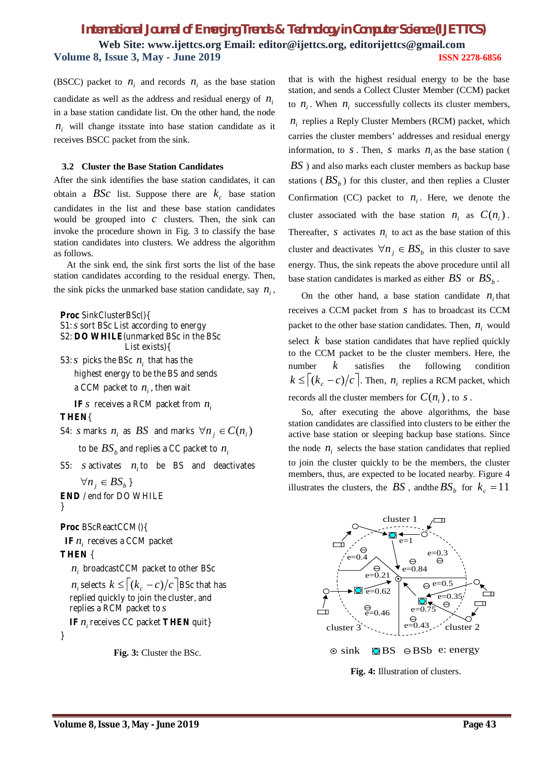# *International Journal of Emerging Trends & Technology in Computer Science (IJETTCS)* **Web Site: www.ijettcs.org Email: editor@ijettcs.org, editorijettcs@gmail.com Volume 8, Issue 3, May - June 2019 ISSN 2278-6856**

(BSCC) packet to  $n_i$  and records  $n_i$  as the base station candidate as well as the address and residual energy of *n<sup>i</sup>* in a base station candidate list. On the other hand, the node  $n_i$  will change itsstate into base station candidate as it receives BSCC packet from the sink.

#### **3.2 Cluster the Base Station Candidates**

After the sink identifies the base station candidates, it can obtain a  $BSc$  list. Suppose there are  $k_c$  base station candidates in the list and these base station candidates would be grouped into *c* clusters. Then, the sink can invoke the procedure shown in Fig. 3 to classify the base station candidates into clusters. We address the algorithm as follows.

At the sink end, the sink first sorts the list of the base station candidates according to the residual energy. Then, the sink picks the unmarked base station candidate, say  $n_i$ ,

**Proc** SinkClusterBSc(){ S1: *s* sort BSc List according to energy S2: **DO WHILE**(unmarked BSc in the BSc List exists){

S3:  $s$  picks the BSc  $n<sub>i</sub>$  that has the highest energy to be the BS and sends a CCM packet to  $n_i^{\phantom{\dag}}$  , then wait

**IF** *s* receives a RCM packet from *n<sup>i</sup>*

**THEN**{

S4: *s* marks  $n_i$  as BS and marks  $\forall n_j \in C(n_i)$ 

to be  $BS_b$  and replies a CC packet to  $n_i$ 

S5: *s* activates  $n_i$  to be BS and deactivates

 $\forall n_j \in BS_b$  } **END** /end for DO WHILE }

**Proc** BScReactCCM(){

**IF**  $n_i$  receives a CCM packet

## **THEN** {

}

 $n_i^{\dagger}$  broadcastCCM packet to other BSc

 $n_i$  selects  $k \leq (k_c - c)/c$  BSc that has replied quickly to join the cluster, and replies a RCM packet to *s*

**IF** *n<sup>i</sup>* receives CC packet **THEN** quit}

**Fig. 3:** Cluster the BSc.

that is with the highest residual energy to be the base station, and sends a Collect Cluster Member (CCM) packet to  $n_i$ . When  $n_i$  successfully collects its cluster members,  $n<sub>i</sub>$  replies a Reply Cluster Members (RCM) packet, which carries the cluster members' addresses and residual energy information, to  $s$ . Then,  $s$  marks  $n_i$  as the base station ( *BS* ) and also marks each cluster members as backup base stations  $(BS_b)$  for this cluster, and then replies a Cluster Confirmation (CC) packet to  $n_i$ . Here, we denote the cluster associated with the base station  $n_i$  as  $C(n_i)$ . Thereafter, *s* activates  $n_i$  to act as the base station of this cluster and deactivates  $\forall n_j \in BS_b$  in this cluster to save energy. Thus, the sink repeats the above procedure until all base station candidates is marked as either *BS* or *BS<sup>b</sup>* .

On the other hand, a base station candidate  $n_i$  that receives a CCM packet from *s* has to broadcast its CCM packet to the other base station candidates. Then,  $n_i$  would select *k* base station candidates that have replied quickly to the CCM packet to be the cluster members. Here, the number *k* satisfies the following condition  $k \leq (k_c - c)/c$ . Then,  $n_i$  replies a RCM packet, which records all the cluster members for  $C(n_i)$ , to  $s$ .

So, after executing the above algorithms, the base station candidates are classified into clusters to be either the active base station or sleeping backup base stations. Since the node  $n_i$  selects the base station candidates that replied to join the cluster quickly to be the members, the cluster members, thus, are expected to be located nearby. Figure 4 illustrates the clusters, the  $BS$ , and the  $BS_b$  for  $k_c = 11$ 

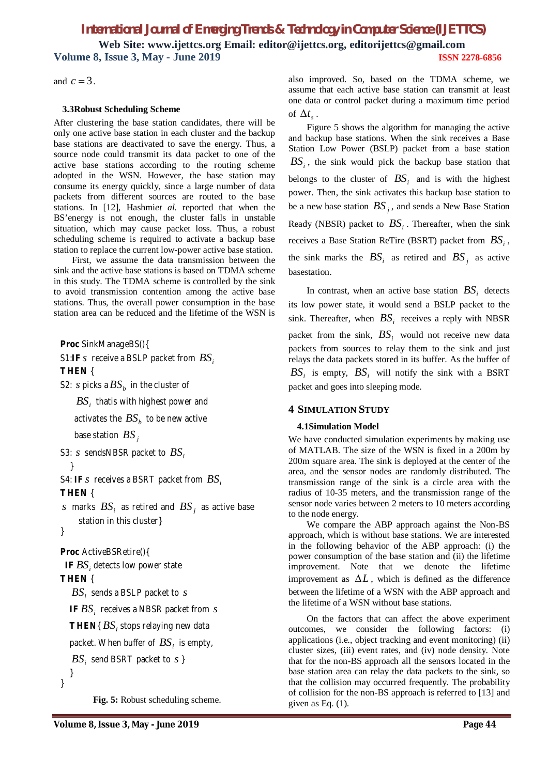# *International Journal of Emerging Trends & Technology in Computer Science (IJETTCS)* **Web Site: www.ijettcs.org Email: editor@ijettcs.org, editorijettcs@gmail.com Volume 8, Issue 3, May - June 2019 ISSN 2278-6856**

and  $c = 3$ .

#### **3.3Robust Scheduling Scheme**

After clustering the base station candidates, there will be only one active base station in each cluster and the backup base stations are deactivated to save the energy. Thus, a source node could transmit its data packet to one of the active base stations according to the routing scheme adopted in the WSN. However, the base station may consume its energy quickly, since a large number of data packets from different sources are routed to the base stations. In [12], Hashmi*et al.* reported that when the BS'energy is not enough, the cluster falls in unstable situation, which may cause packet loss. Thus, a robust scheduling scheme is required to activate a backup base station to replace the current low-power active base station.

First, we assume the data transmission between the sink and the active base stations is based on TDMA scheme in this study. The TDMA scheme is controlled by the sink to avoid transmission contention among the active base stations. Thus, the overall power consumption in the base station area can be reduced and the lifetime of the WSN is

**Proc** SinkManageBS(){

```
S1:IF s receive a BSLP packet from BSi
```
**THEN** {

S2:  $s$  picks a  $BS_b^+$  in the cluster of

 $BS_i^{\top}$  thatis with highest power and

activates the  $BS_b^+$  to be new active

```
base station BS j
```

```
S3: s sendsNBSR packet to BSi
```

```
 }
```
S4: **IF** *s* receives a BSRT packet from *BS<sup>i</sup>*

## **THEN** {

```
s marks BS_{i} as retired and BS_{j} as active base
    station in this cluster}
```

```
}
```
**Proc** ActiveBSRetire(){

```
IF BSi
detects low power state
THEN {
```
 $BS_i^+$  sends a BSLP packet to  $\,s$ 

**IF** *BS<sup>i</sup>* receives a NBSR packet from *s*

 $\textsf{THEN}\{\textit{BS}_i\text{ stops}$  relaying new data

packet. When buffer of  $BS_i$  is empty,

```
BS_i send BSRT packet to s }
```

```
}
}
```
**Fig. 5:** Robust scheduling scheme.

Figure 5 shows the algorithm for managing the active and backup base stations. When the sink receives a Base Station Low Power (BSLP) packet from a base station *BS<sup>i</sup>* , the sink would pick the backup base station that belongs to the cluster of  $BS_i$  and is with the highest power. Then, the sink activates this backup base station to be a new base station *BS <sup>j</sup>* , and sends a New Base Station Ready (NBSR) packet to  $BS_i$ . Thereafter, when the sink receives a Base Station ReTire (BSRT) packet from *BS<sup>i</sup>* , the sink marks the  $BS_i$  as retired and  $BS_j$  as active basestation.

In contrast, when an active base station  $BS_i$  detects its low power state, it would send a BSLP packet to the sink. Thereafter, when  $BS_i$  receives a reply with NBSR packet from the sink,  $BS_i$  would not receive new data packets from sources to relay them to the sink and just relays the data packets stored in its buffer. As the buffer of  $BS_i$  is empty,  $BS_i$  will notify the sink with a BSRT packet and goes into sleeping mode.

## **4 SIMULATION STUDY**

## **4.1Simulation Model**

We have conducted simulation experiments by making use of MATLAB. The size of the WSN is fixed in a 200m by 200m square area. The sink is deployed at the center of the area, and the sensor nodes are randomly distributed. The transmission range of the sink is a circle area with the radius of 10-35 meters, and the transmission range of the sensor node varies between 2 meters to 10 meters according to the node energy.

We compare the ABP approach against the Non-BS approach, which is without base stations. We are interested in the following behavior of the ABP approach: (i) the power consumption of the base station and (ii) the lifetime improvement. Note that we denote the lifetime improvement as  $\Delta L$ , which is defined as the difference between the lifetime of a WSN with the ABP approach and the lifetime of a WSN without base stations.

On the factors that can affect the above experiment outcomes, we consider the following factors: (i) applications (i.e., object tracking and event monitoring) (ii) cluster sizes, (iii) event rates, and (iv) node density. Note that for the non-BS approach all the sensors located in the base station area can relay the data packets to the sink, so that the collision may occurred frequently. The probability of collision for the non-BS approach is referred to [13] and given as Eq. (1).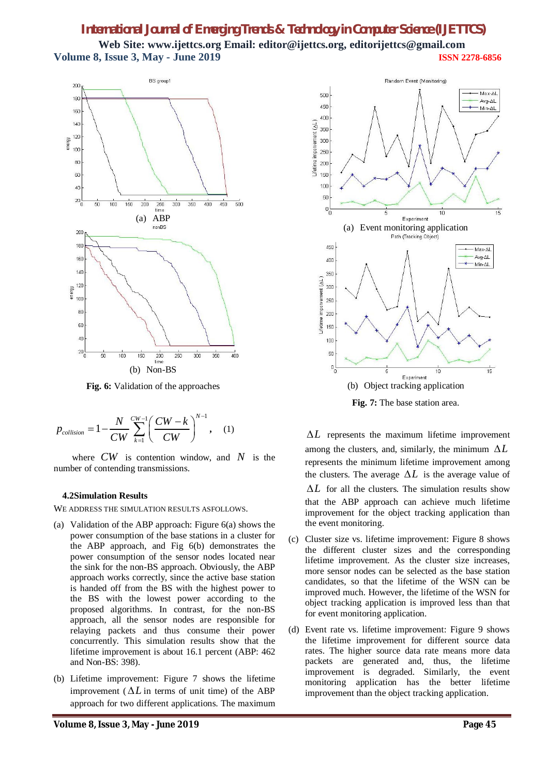# *International Journal of Emerging Trends & Technology in Computer Science (IJETTCS)* **Web Site: www.ijettcs.org Email: editor@ijettcs.org, editorijettcs@gmail.com Volume 8, Issue 3, May - June 2019 ISSN 2278-6856**



**Fig. 6:** Validation of the approaches

$$
p_{collision} = 1 - \frac{N}{CW} \sum_{k=1}^{CW-1} \left(\frac{CW - k}{CW}\right)^{N-1}, \quad (1)
$$

where *CW* is contention window, and *N* is the number of contending transmissions.

#### **4.2Simulation Results**

WE ADDRESS THE SIMULATION RESULTS ASFOLLOWS.

- (a) Validation of the ABP approach: Figure 6(a) shows the power consumption of the base stations in a cluster for the ABP approach, and Fig 6(b) demonstrates the power consumption of the sensor nodes located near the sink for the non-BS approach. Obviously, the ABP approach works correctly, since the active base station is handed off from the BS with the highest power to the BS with the lowest power according to the proposed algorithms. In contrast, for the non-BS approach, all the sensor nodes are responsible for relaying packets and thus consume their power concurrently. This simulation results show that the lifetime improvement is about 16.1 percent (ABP: 462 and Non-BS: 398).
- (b) Lifetime improvement: Figure 7 shows the lifetime improvement ( $\Delta L$  in terms of unit time) of the ABP approach for two different applications. The maximum



**Fig. 7:** The base station area.

 $\Delta L$  represents the maximum lifetime improvement among the clusters, and, similarly, the minimum  $\Delta L$ represents the minimum lifetime improvement among the clusters. The average  $\Delta L$  is the average value of  $\Delta L$  for all the clusters. The simulation results show that the ABP approach can achieve much lifetime improvement for the object tracking application than the event monitoring.

- (c) Cluster size vs. lifetime improvement: Figure 8 shows the different cluster sizes and the corresponding lifetime improvement. As the cluster size increases, more sensor nodes can be selected as the base station candidates, so that the lifetime of the WSN can be improved much. However, the lifetime of the WSN for object tracking application is improved less than that for event monitoring application.
- (d) Event rate vs. lifetime improvement: Figure 9 shows the lifetime improvement for different source data rates. The higher source data rate means more data packets are generated and, thus, the lifetime improvement is degraded. Similarly, the event monitoring application has the better lifetime improvement than the object tracking application.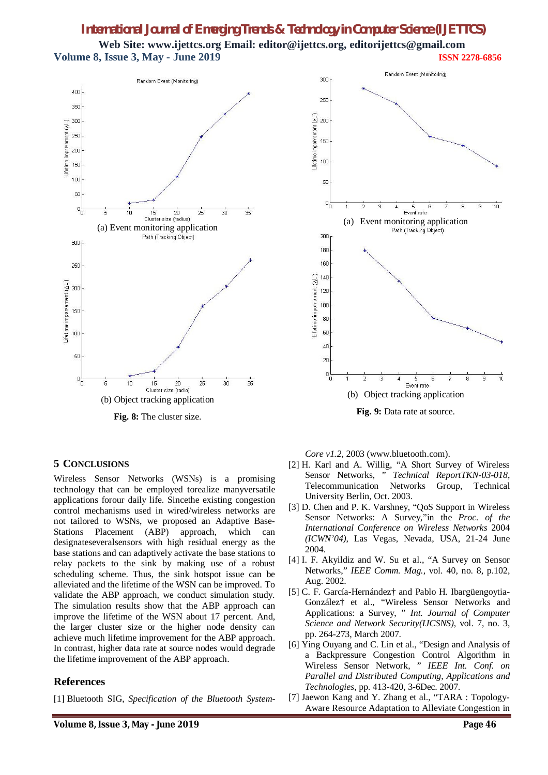# *International Journal of Emerging Trends & Technology in Computer Science (IJETTCS)*

**Web Site: www.ijettcs.org Email: editor@ijettcs.org, editorijettcs@gmail.com Volume 8, Issue 3, May - June 2019 ISSN 2278-6856**



**Fig. 8:** The cluster size.

## **5 CONCLUSIONS**

Wireless Sensor Networks (WSNs) is a promising technology that can be employed torealize manyversatile applications forour daily life. Sincethe existing congestion control mechanisms used in wired/wireless networks are not tailored to WSNs, we proposed an Adaptive Base-Stations Placement (ABP) approach, which can designateseveralsensors with high residual energy as the base stations and can adaptively activate the base stations to relay packets to the sink by making use of a robust scheduling scheme. Thus, the sink hotspot issue can be alleviated and the lifetime of the WSN can be improved. To validate the ABP approach, we conduct simulation study. The simulation results show that the ABP approach can improve the lifetime of the WSN about 17 percent. And, the larger cluster size or the higher node density can achieve much lifetime improvement for the ABP approach. In contrast, higher data rate at source nodes would degrade the lifetime improvement of the ABP approach.

## **References**

[1] Bluetooth SIG, *Specification of the Bluetooth System-*







- [2] H. Karl and A. Willig, "A Short Survey of Wireless Sensor Networks, " *Technical ReportTKN-03-018*, Telecommunication Networks Group, Technical University Berlin, Oct. 2003.
- [3] D. Chen and P. K. Varshney, "QoS Support in Wireless Sensor Networks: A Survey,"in the *Proc. of the International Conference on Wireless Networks* 2004 *(ICWN'04)*, Las Vegas, Nevada, USA, 21-24 June 2004.
- [4] I. F. Akyildiz and W. Su et al., "A Survey on Sensor Networks," *IEEE Comm. Mag.,* vol. 40, no. 8, p.102, Aug. 2002.
- [5] C. F. García-Hernández† and Pablo H. Ibargüengoytia-González† et al., "Wireless Sensor Networks and Applications: a Survey, " *Int. Journal of Computer Science and Network Security(IJCSNS)*, vol. 7, no. 3, pp. 264-273, March 2007.
- [6] Ying Ouyang and C. Lin et al., "Design and Analysis of a Backpressure Congestion Control Algorithm in Wireless Sensor Network, " *IEEE Int. Conf. on Parallel and Distributed Computing, Applications and Technologies,* pp. 413-420, 3-6Dec. 2007.
- [7] Jaewon Kang and Y. Zhang et al., "TARA : Topology-Aware Resource Adaptation to Alleviate Congestion in